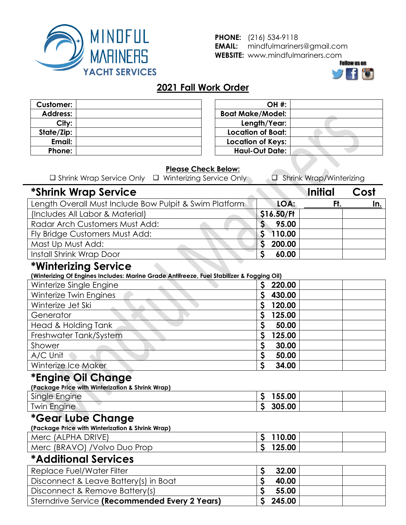

**PHONE:** (216) 534-9118 **EMAIL:** mindfulmariners@gmail.com **WEBSITE:** www.mindfulmariners.com



#### **2021 Fall Work Order**

| <b>Customer:</b> |  |
|------------------|--|
| <b>Address:</b>  |  |
| City:            |  |
| State/Zip:       |  |
| Email:           |  |
| Phone:           |  |

| <b>OH #:</b>             |  |
|--------------------------|--|
| <b>Boat Make/Model:</b>  |  |
| Length/Year:             |  |
| <b>Location of Boat:</b> |  |
| <b>Location of Keys:</b> |  |
| <b>Haul-Out Date:</b>    |  |
|                          |  |

#### **Please Check Below:**

| $\Box$ Shrink Wrap Service Only | $\Box$ Winterizing Service Only | Shrink Wrap/Winterizing |
|---------------------------------|---------------------------------|-------------------------|
|---------------------------------|---------------------------------|-------------------------|

# **\*Shrink Wrap Service Initial Cost**

| Length Overall Must Include Bow Pulpit & Swim Platform | LOA:       | In. |
|--------------------------------------------------------|------------|-----|
| (Includes All Labor & Material)                        | \$16.50/Ft |     |
| Radar Arch Customers Must Add:                         | 95.00      |     |
| Fly Bridge Customers Must Add:                         | 110.00     |     |
| Mast Up Must Add:                                      | 200.00     |     |
| Install Shrink Wrap Door                               | 60.00      |     |

### **\*Winterizing Service**

**(Winterizing Of Engines Includes: Marine Grade Antifreeze, Fuel Stabilizer & Fogging Oil)**

| Winterize Single Engine | 220.00 |
|-------------------------|--------|
| Winterize Twin Engines  | 430.00 |
| Winterize Jet Ski       | 120.00 |
| Generator               | 125.00 |
| Head & Holding Tank     | 50.00  |
| Freshwater Tank/System  | 125.00 |
| Shower                  | 30.00  |
| A/C Unit                | 50.00  |
| Winterize Ice Maker     | 34.00  |

# **\*Engine Oil Change**

| (Package Price with Winterization & Shrink Wrap) |        |  |
|--------------------------------------------------|--------|--|
| Single Engine                                    | 155.00 |  |
| <b>Twin Engine</b>                               | 305.00 |  |

# **\*Gear Lube Change**

**(Package Price with Winterization & Shrink Wrap)**

| Merc (ALPHA DRIVE)            | 110.00 |
|-------------------------------|--------|
| Merc (BRAVO) / Volvo Duo Prop | 125.00 |
| ________                      |        |

#### **\*Additional Services**

| Replace Fuel/Water Filter                      | 32.00  |  |
|------------------------------------------------|--------|--|
| Disconnect & Leave Battery(s) in Boat          | 40.00  |  |
| Disconnect & Remove Battery(s)                 | 55.00  |  |
| Sterndrive Service (Recommended Every 2 Years) | 245.00 |  |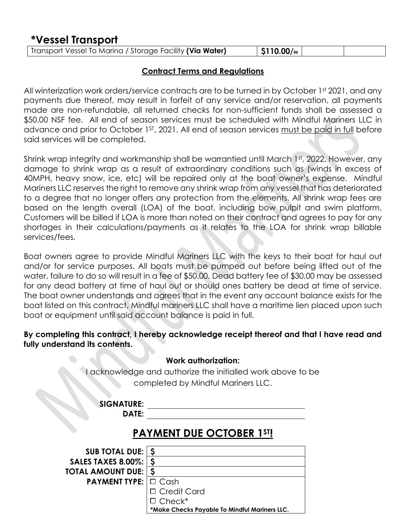### **\*Vessel Transport**

| Transport Vessel To Marina / Storage Facility (Via Water)<br>$\vert$ \$110.00/ $_{\rm{Hf}$ $\vert$ |
|----------------------------------------------------------------------------------------------------|
|----------------------------------------------------------------------------------------------------|

#### **Contract Terms and Regulations**

All winterization work orders/service contracts are to be turned in by October 1st 2021, and any payments due thereof, may result in forfeit of any service and/or reservation, all payments made are non-refundable, all returned checks for non-sufficient funds shall be assessed a \$50.00 NSF fee. All end of season services must be scheduled with Mindful Mariners LLC in advance and prior to October 1<sup>st</sup>, 2021. All end of season services must be paid in full before said services will be completed.

Shrink wrap integrity and workmanship shall be warrantied until March 1st, 2022. However, any damage to shrink wrap as a result of extraordinary conditions such as (winds in excess of 40MPH, heavy snow, ice, etc) will be repaired only at the boat owner's expense. Mindful Mariners LLC reserves the right to remove any shrink wrap from any vessel that has deteriorated to a degree that no longer offers any protection from the elements. All shrink wrap fees are based on the length overall (LOA) of the boat, including bow pulpit and swim platform. Customers will be billed if LOA is more than noted on their contract and agrees to pay for any shortages in their calculations/payments as it relates to the LOA for shrink wrap billable services/fees.

Boat owners agree to provide Mindful Mariners LLC with the keys to their boat for haul out and/or for service purposes. All boats must be pumped out before being lifted out of the water, failure to do so will result in a fee of \$50.00. Dead battery fee of \$30.00 may be assessed for any dead battery at time of haul out or should ones battery be dead at time of service. The boat owner understands and agrees that in the event any account balance exists for the boat listed on this contract, Mindful mariners LLC shall have a maritime lien placed upon such boat or equipment until said account balance is paid in full.

#### **By completing this contract, I hereby acknowledge receipt thereof and that I have read and fully understand its contents.**

|                            | <b>Work authorization:</b><br>I acknowledge and authorize the initialled work above to be<br>completed by Mindful Mariners LLC. |
|----------------------------|---------------------------------------------------------------------------------------------------------------------------------|
| <b>SIGNATURE:</b><br>DATE: |                                                                                                                                 |
|                            | <b>PAYMENT DUE OCTOBER 1ST!</b>                                                                                                 |
| <b>SUB TOTAL DUE:</b>      |                                                                                                                                 |
| <b>SALES TAXES 8.00%:</b>  | \$                                                                                                                              |
| <b>TOTAL AMOUNT DUE:</b>   | <b>S</b>                                                                                                                        |
| <b>PAYMENT TYPE:</b>       | $\Box$ Cash                                                                                                                     |
|                            | <b>Credit Card</b>                                                                                                              |

**\*Make Checks Payable To Mindful Mariners LLC.**

Check\*